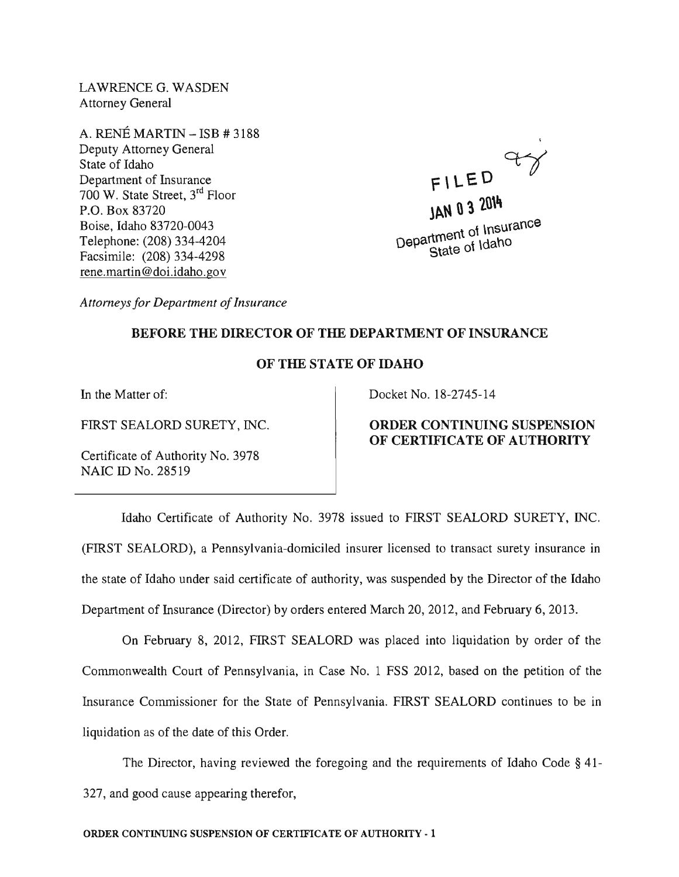LAWRENCE G. WASDEN Attorney General

A. RENE MARTIN - ISB # 3188 Deputy Attorney General State of Idaho Department of Insurance 700 W. State Street, 3rd Floor P.O. Box 83720 Boise, Idaho 83720-0043 Telephone: (208) 334-4204 Facsimile: (208) 334-4298 rene.martin@doi.idaho.gov

 $F = 0$   $Y$ **lAN 03 10\4**   $\sigma$ t Insurance Department of Insurance<br>State of Idaho

*Attorneys for Department of Insurance* 

# BEFORE THE DIRECTOR OF THE DEPARTMENT OF INSURANCE

# OF THE STATE OF IDAHO

In the Matter of:

FIRST SEALORD SURETY, INC.

Certificate of Authority No. 3978 NAIC ID No. 28519

#### Docket No. 18-2745-14

# ORDER CONTINUING SUSPENSION OF CERTIFICATE OF AUTHORITY

Idaho Certificate of Authority No. 3978 issued to FIRST SEALORD SURETY, INC. (FIRST SEALORD), a Pennsylvania-domiciled insurer licensed to transact surety insurance in the state of Idaho under said certificate of authority, was suspended by the Director of the Idaho Department of Insurance (Director) by orders entered March 20, 2012, and February 6, 2013.

On February 8, 2012, FIRST SEALORD was placed into liquidation by order of the Commonwealth Court of Pennsylvania, in Case No.1 FSS 2012, based on the petition of the Insurance Commissioner for the State of Pennsylvania. FIRST SEALORD continues to be in liquidation as of the date of this Order.

The Director, having reviewed the foregoing and the requirements of Idaho Code § 41- 327, and good cause appearing therefor,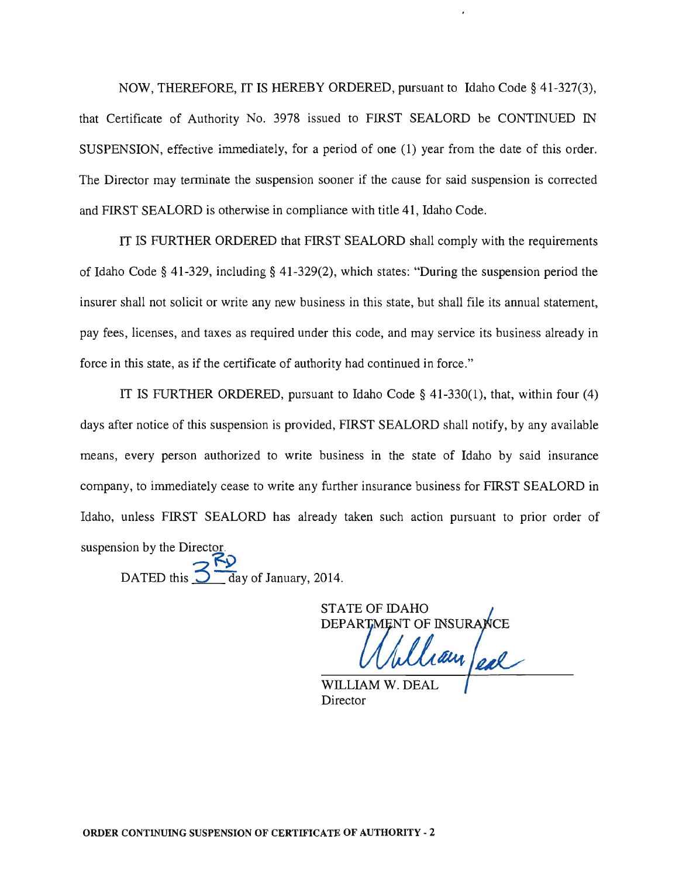NOW, THEREFORE, IT IS HEREBY ORDERED, pursuant to Idaho Code § 41-327(3), that Certificate of Authority No. 3978 issued to FIRST SEALORD be CONTINUED IN SUSPENSION, effective immediately, for a period of one (1) year from the date of this order. The Director may terminate the suspension sooner if the cause for said suspension is corrected and FIRST SEALORD is otherwise in compliance with title 41, Idaho Code.

IT IS FURTHER ORDERED that FIRST SEALORD shall comply with the requirements of Idaho Code § 41-329, including § 41-329(2), which states: "During the suspension period the insurer shall not solicit or write any new business in this state, but shall file its annual statement, pay fees, licenses, and taxes as required under this code, and may service its business already in force in this state, as if the certificate of authority had continued in force."

IT IS FURTHER ORDERED, pursuant to Idaho Code § 41-330(1), that, within four (4) days after notice of this suspension is provided, FIRST SEALORD shall notify, by any available means, every person authorized to write business in the state of Idaho by said insurance company, to immediately cease to write any further insurance business for FIRST SEALORD in Idaho, unless FIRST SEALORD has already taken such action pursuant to prior order of suspension by the Director **f!.9** 

DATED this  $\frac{3}{3}$  day of January, 2014.

STATE OF IDAHO DEPARTMENT OF INSURANCE

WILLIAM W. Director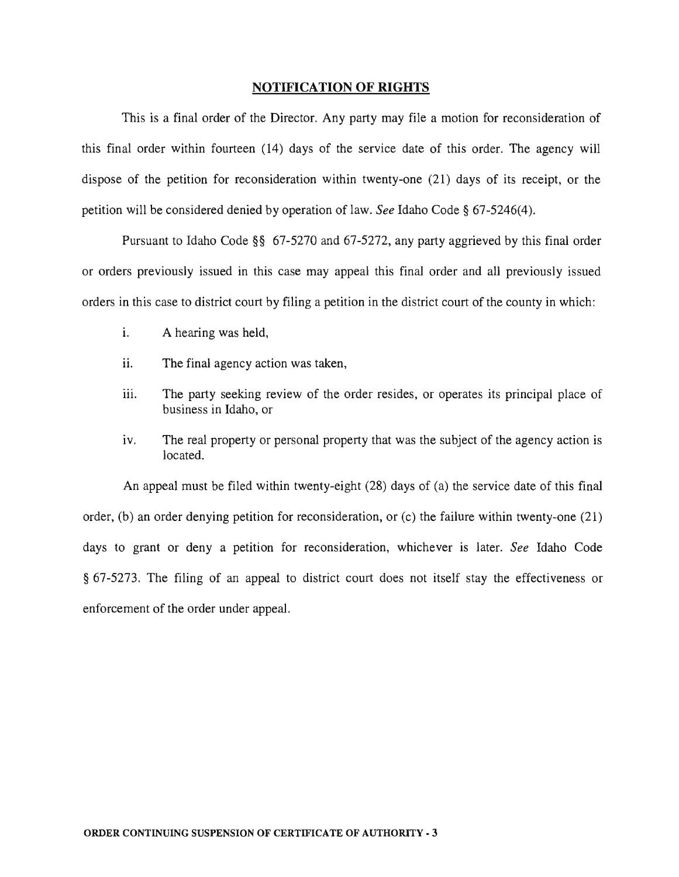#### **NOTIFICATION OF RIGHTS**

This is a final order of the Director. Any party may file a motion for reconsideration of this final order within fourteen (14) days of the service date of this order. The agency will dispose of the petition for reconsideration within twenty-one (21) days of its receipt, or the petition will be considered denied by operation of law. *See* Idaho Code § 67-5246(4).

Pursuant to Idaho Code §§ 67-5270 and 67-5272, any party aggrieved by this final order or orders previously issued in this case may appeal this final order and all previously issued orders in this case to district court by filing a petition in the district court of the county in which:

- i. A hearing was held,
- ii. The final agency action was taken,
- iii. The party seeking review of the order resides, or operates its principal place of business in Idaho, or
- iv. The real property or personal property that was the subject of the agency action is located.

An appeal must be filed within twenty-eight (28) days of (a) the service date of this final order, (b) an order denying petition for reconsideration, or (c) the failure within twenty-one (21) days to grant or deny a petition for reconsideration, whichever is later. *See* Idaho Code § 67-5273. The filing of an appeal to district court does not itself stay the effectiveness or enforcement of the order under appeal.